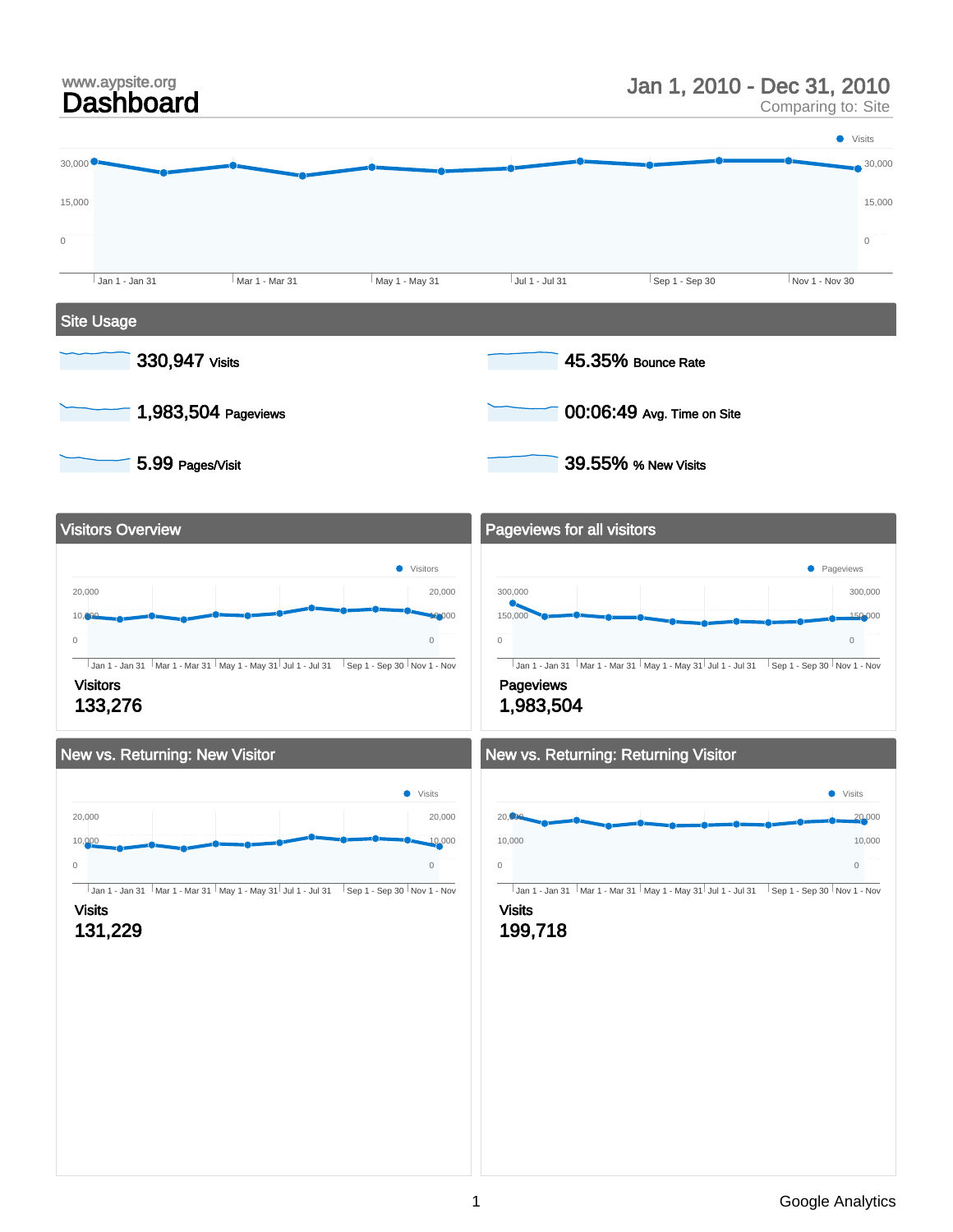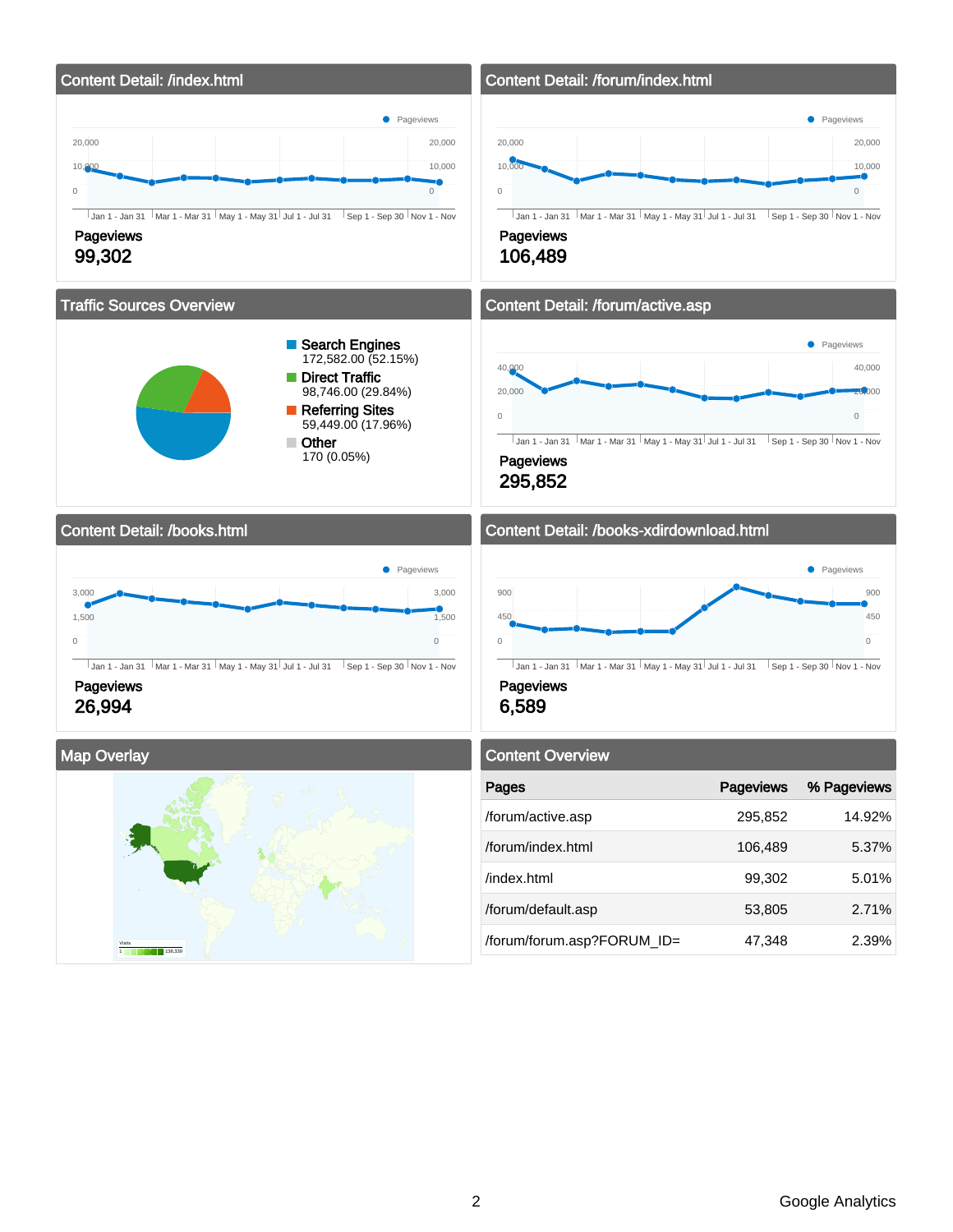

Visits 1 138,339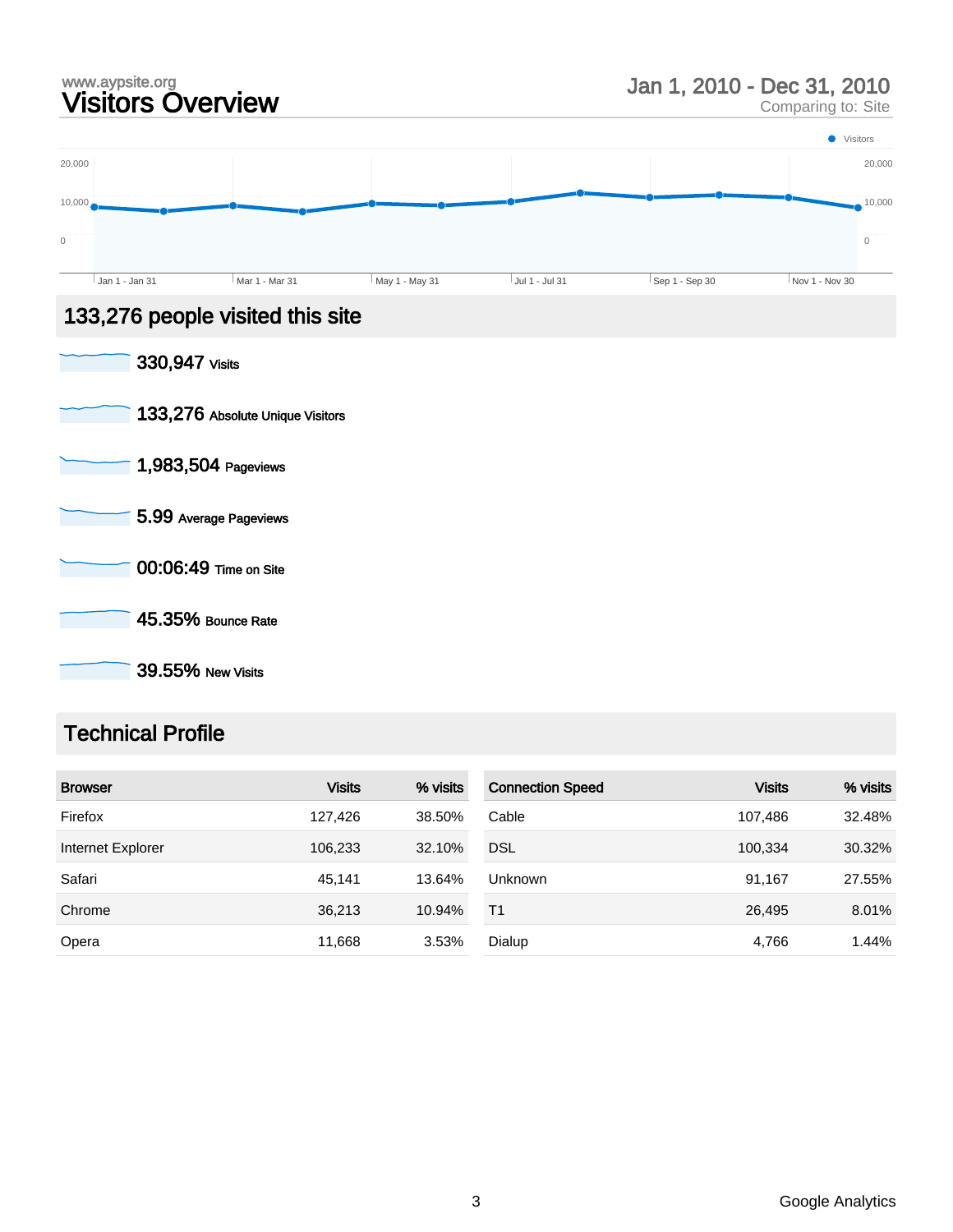# www.aypsite.org<br> **Visitors Overview State State of August 2010** Jan 1, 2010 - Dec 31, 2010<br>
Comparing to: Site

Comparing to: Site



- 1,983,504 Pageviews
- 5.99 Average Pageviews
- 00:06:49 Time on Site
	- 45.35% Bounce Rate

39.55% New Visits

# Technical Profile

| <b>Browser</b>    | <b>Visits</b> | % visits | <b>Connection Speed</b> | <b>Visits</b> | % visits |
|-------------------|---------------|----------|-------------------------|---------------|----------|
| Firefox           | 127.426       | 38.50%   | Cable                   | 107.486       | 32.48%   |
| Internet Explorer | 106,233       | 32.10%   | <b>DSL</b>              | 100.334       | 30.32%   |
| Safari            | 45.141        | 13.64%   | <b>Unknown</b>          | 91.167        | 27.55%   |
| Chrome            | 36,213        | 10.94%   | T <sub>1</sub>          | 26,495        | 8.01%    |
| Opera             | 11,668        | 3.53%    | Dialup                  | 4,766         | 1.44%    |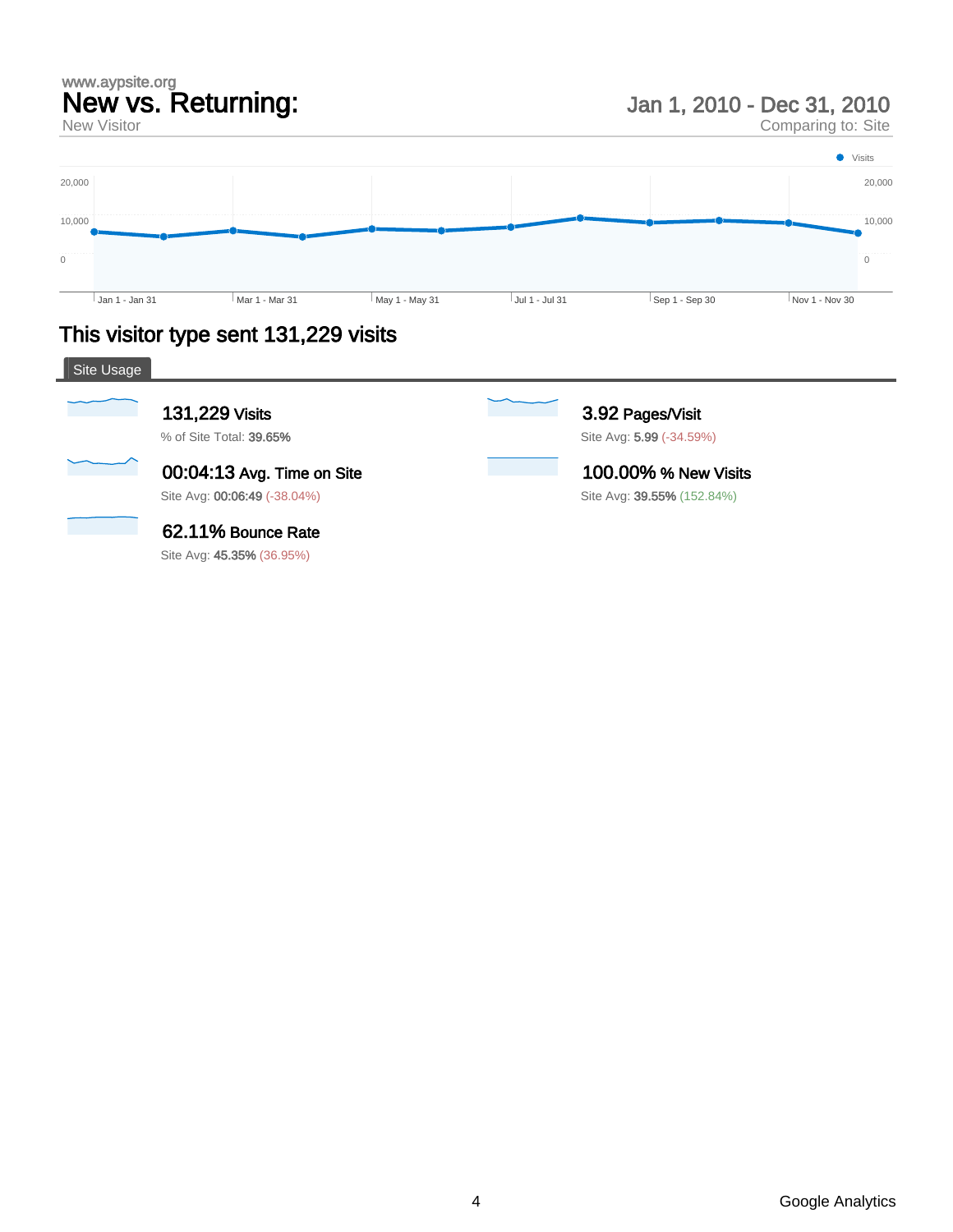# www.aypsite.org New vs. Returning:

New Visitor

Jan 1, 2010 - Dec 31, 2010

Comparing to: Site



# This visitor type sent 131,229 visits

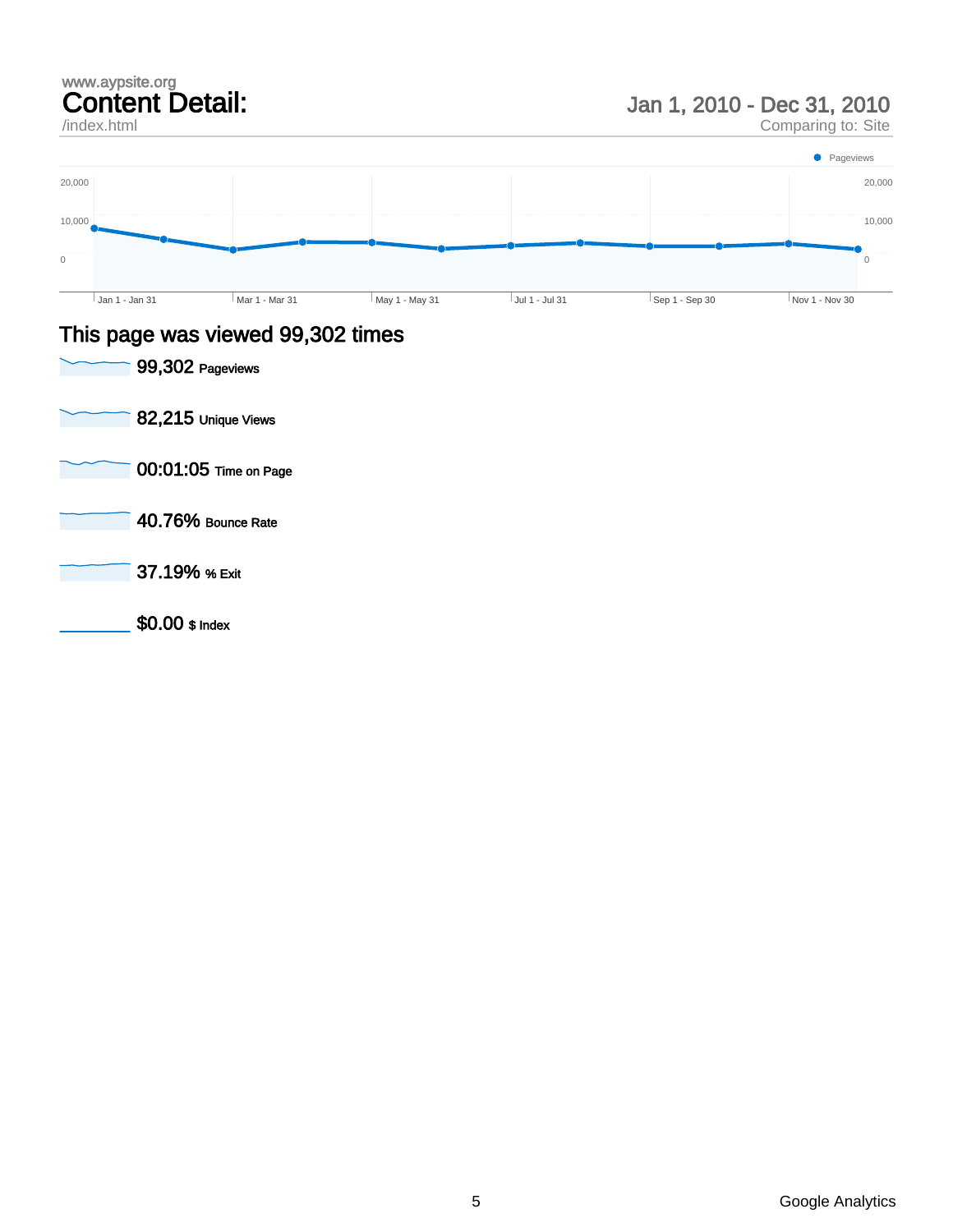/index.html

Jan 1, 2010 - Dec 31, 2010

Comparing to: Site



#### This page was viewed 99,302 times

| 99,302 Pageviews      |
|-----------------------|
| 82,215 Unique Views   |
| 00:01:05 Time on Page |
| 40.76% Bounce Rate    |
| 37.19% % Exit         |
| \$0.00 \$ Index       |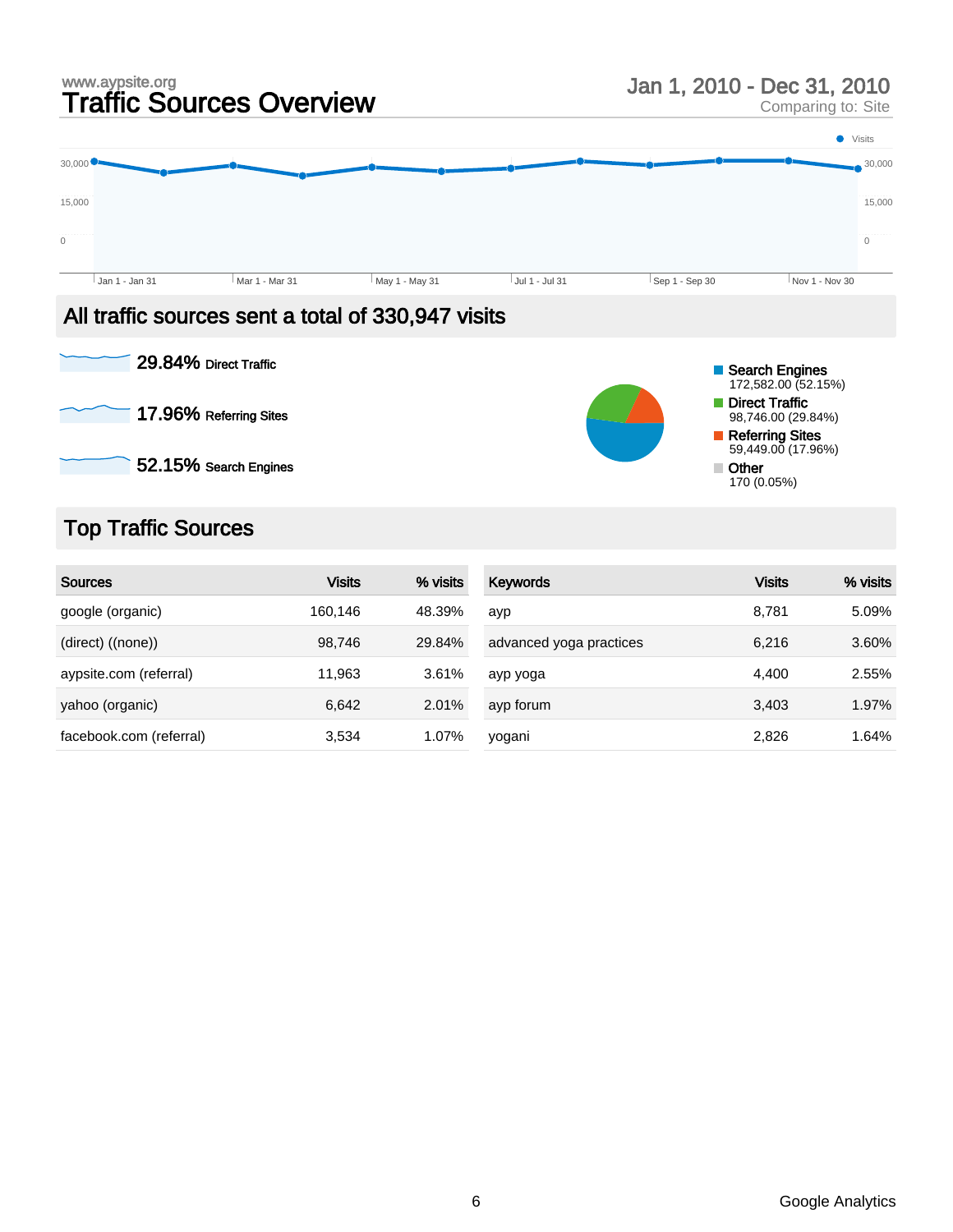# www.aypsite.org<br> **Traffic Sources Overview Manual Star And All Sources Overview** Jan 1, 2010 - Dec 31, 2010

Comparing to: Site



## All traffic sources sent a total of 330,947 visits



# Top Traffic Sources

| <b>Sources</b>          | <b>Visits</b> | % visits | Keywords                | <b>Visits</b> | % visits |
|-------------------------|---------------|----------|-------------------------|---------------|----------|
| google (organic)        | 160,146       | 48.39%   | ayp                     | 8,781         | 5.09%    |
| (direct) ((none))       | 98.746        | 29.84%   | advanced yoga practices | 6,216         | 3.60%    |
| aypsite.com (referral)  | 11,963        | 3.61%    | ayp yoga                | 4,400         | 2.55%    |
| yahoo (organic)         | 6,642         | 2.01%    | ayp forum               | 3,403         | 1.97%    |
| facebook.com (referral) | 3,534         | 1.07%    | yogani                  | 2,826         | 1.64%    |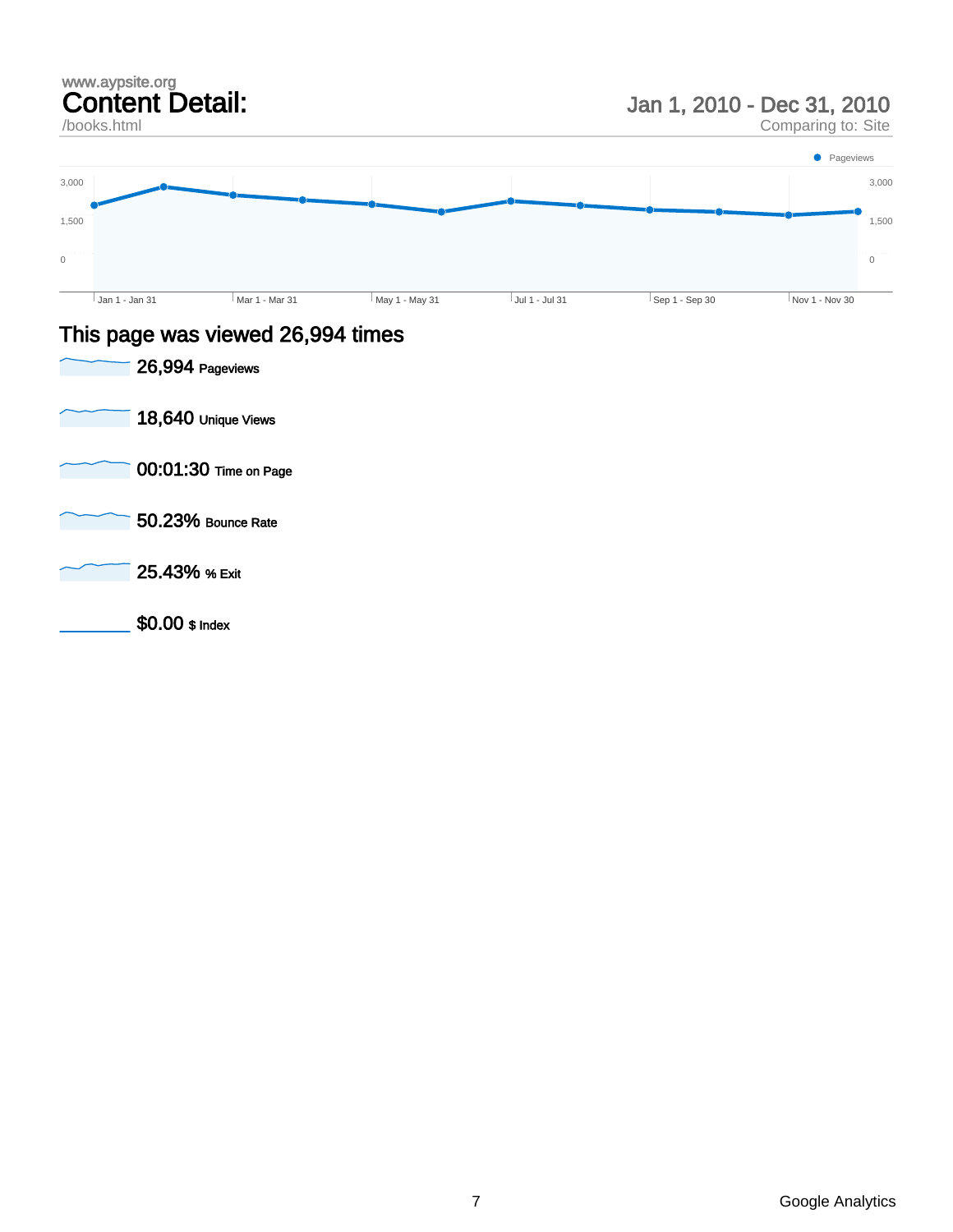/books.html

Jan 1, 2010 - Dec 31, 2010

Comparing to: Site



### This page was viewed 26,994 times

| 26,994 Pageviews      |
|-----------------------|
| 18,640 Unique Views   |
| 00:01:30 Time on Page |
| 50.23% Bounce Rate    |
| 25.43% % Exit         |
| $$0.00$ \$ Index      |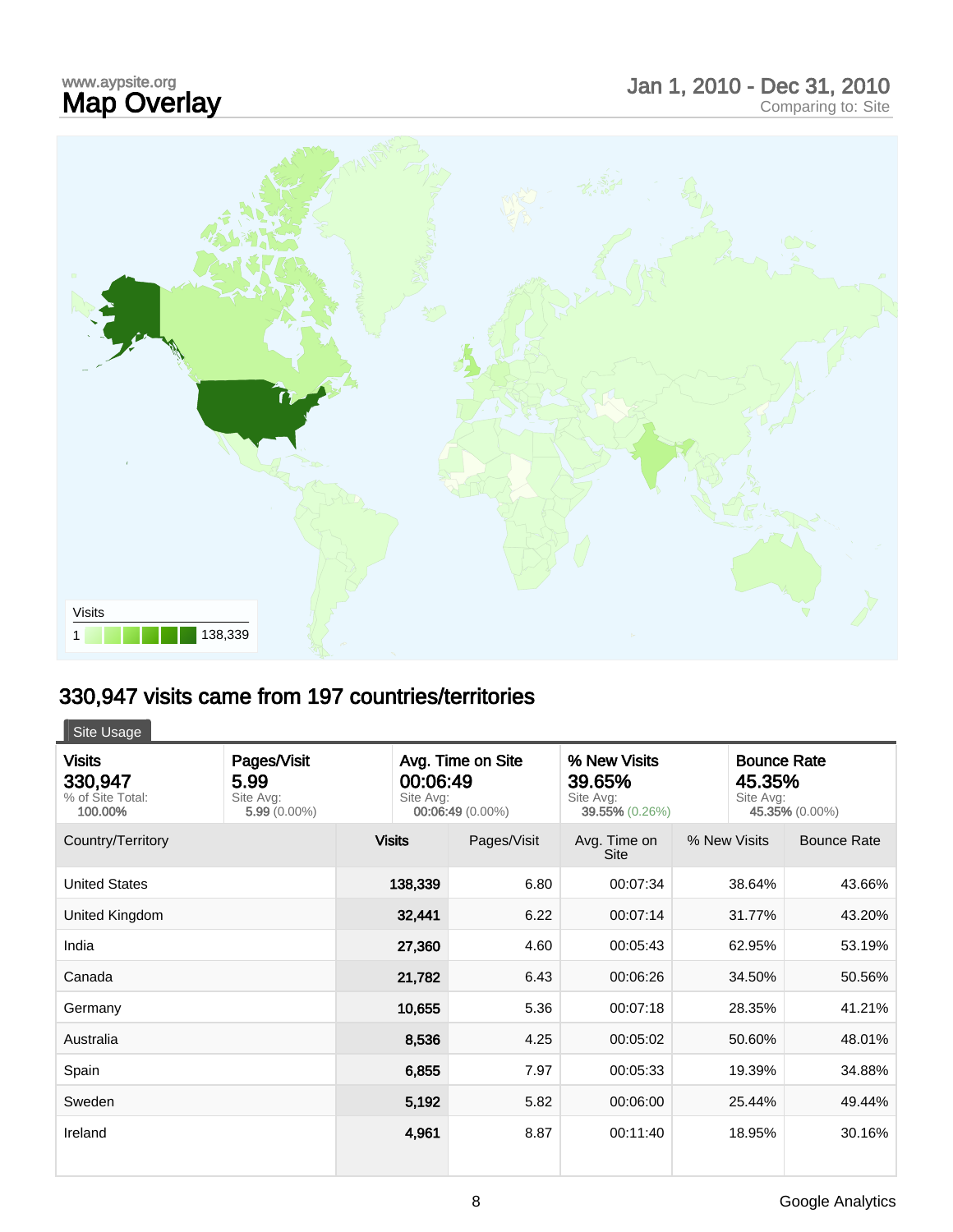# www.aypsite.org<br>**Map Overlay**

# www.aypsite.org<br> **Map Overlay Exercía** Dec 31, 2010 - Dec 31, 2010<br>
Comparing to: Site



# 330,947 visits came from 197 countries/territories

| Site Usage                                              |                                                    |                                                                |             |                                                       |              |                                                             |  |
|---------------------------------------------------------|----------------------------------------------------|----------------------------------------------------------------|-------------|-------------------------------------------------------|--------------|-------------------------------------------------------------|--|
| <b>Visits</b><br>330,947<br>% of Site Total:<br>100.00% | Pages/Visit<br>5.99<br>Site Avg:<br>$5.99(0.00\%)$ | Avg. Time on Site<br>00:06:49<br>Site Avg:<br>00:06:49 (0.00%) |             | % New Visits<br>39.65%<br>Site Avg:<br>39.55% (0.26%) |              | <b>Bounce Rate</b><br>45.35%<br>Site Avg:<br>45.35% (0.00%) |  |
| Country/Territory                                       |                                                    | <b>Visits</b>                                                  | Pages/Visit | Avg. Time on<br>Site                                  | % New Visits | <b>Bounce Rate</b>                                          |  |
| <b>United States</b>                                    |                                                    | 138,339                                                        | 6.80        | 00:07:34                                              | 38.64%       | 43.66%                                                      |  |
| United Kingdom                                          |                                                    | 32,441                                                         | 6.22        | 00:07:14                                              | 31.77%       | 43.20%                                                      |  |
| India                                                   |                                                    | 27,360                                                         | 4.60        | 00:05:43                                              | 62.95%       | 53.19%                                                      |  |
| Canada                                                  |                                                    | 21,782                                                         | 6.43        | 00:06:26                                              | 34.50%       | 50.56%                                                      |  |
| Germany                                                 |                                                    | 10,655                                                         | 5.36        | 00:07:18                                              | 28.35%       | 41.21%                                                      |  |
| Australia                                               |                                                    | 8,536                                                          | 4.25        | 00:05:02                                              | 50.60%       | 48.01%                                                      |  |
| Spain                                                   |                                                    | 6,855                                                          | 7.97        | 00:05:33                                              | 19.39%       | 34.88%                                                      |  |
| Sweden                                                  |                                                    | 5,192                                                          | 5.82        | 00:06:00                                              | 25.44%       | 49.44%                                                      |  |
| Ireland                                                 |                                                    | 4,961                                                          | 8.87        | 00:11:40                                              | 18.95%       | 30.16%                                                      |  |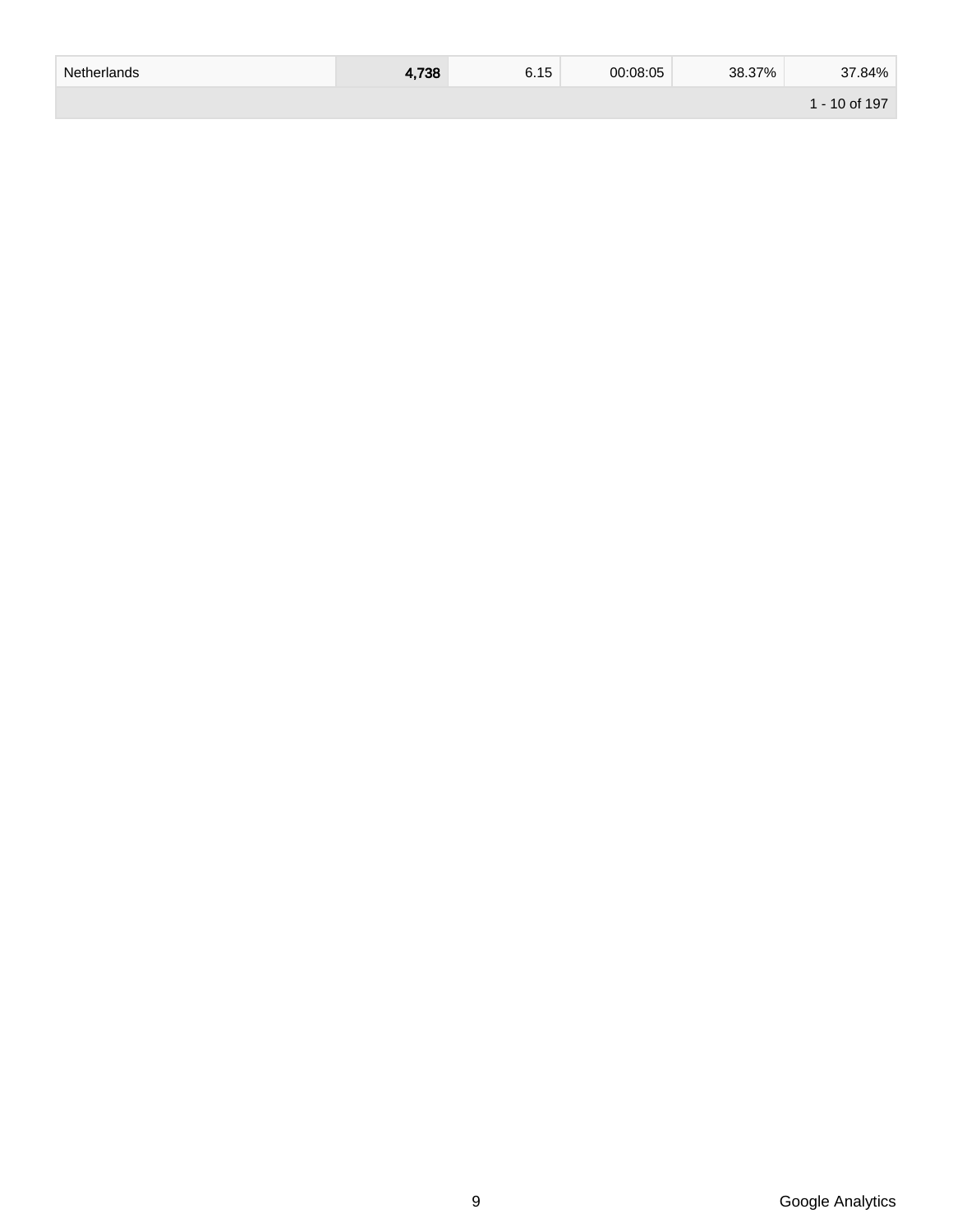| Netherlands | 4,738 | 6.15 | 00:08:05 | 38.37% | 37.84%       |
|-------------|-------|------|----------|--------|--------------|
|             |       |      |          |        | $-10$ of 197 |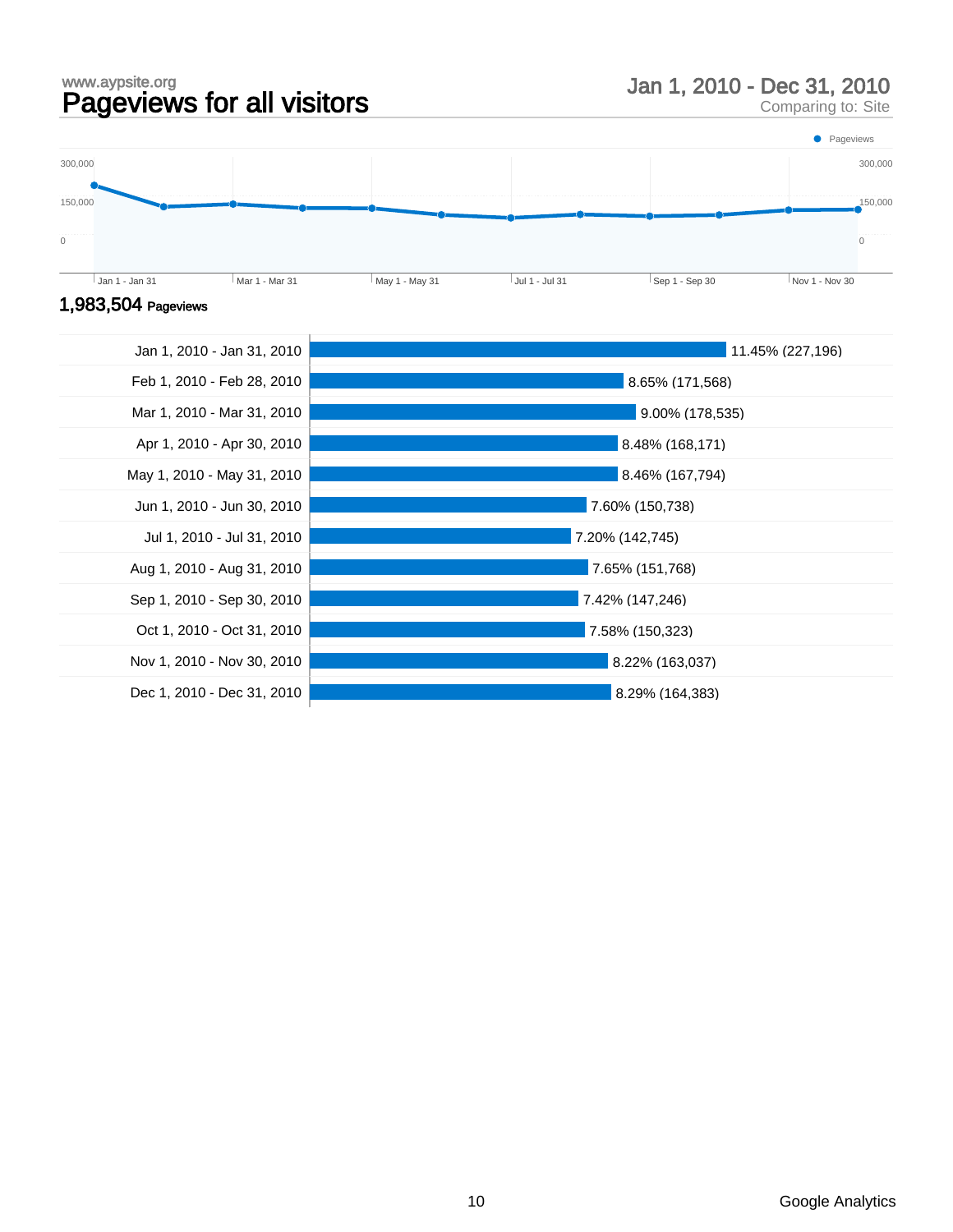# www.aypsite.org<br> **Pageviews for all visitors** Jan 1, 2010 - Dec 31, 2010<br>
Comparing to: Site

Comparing to: Site





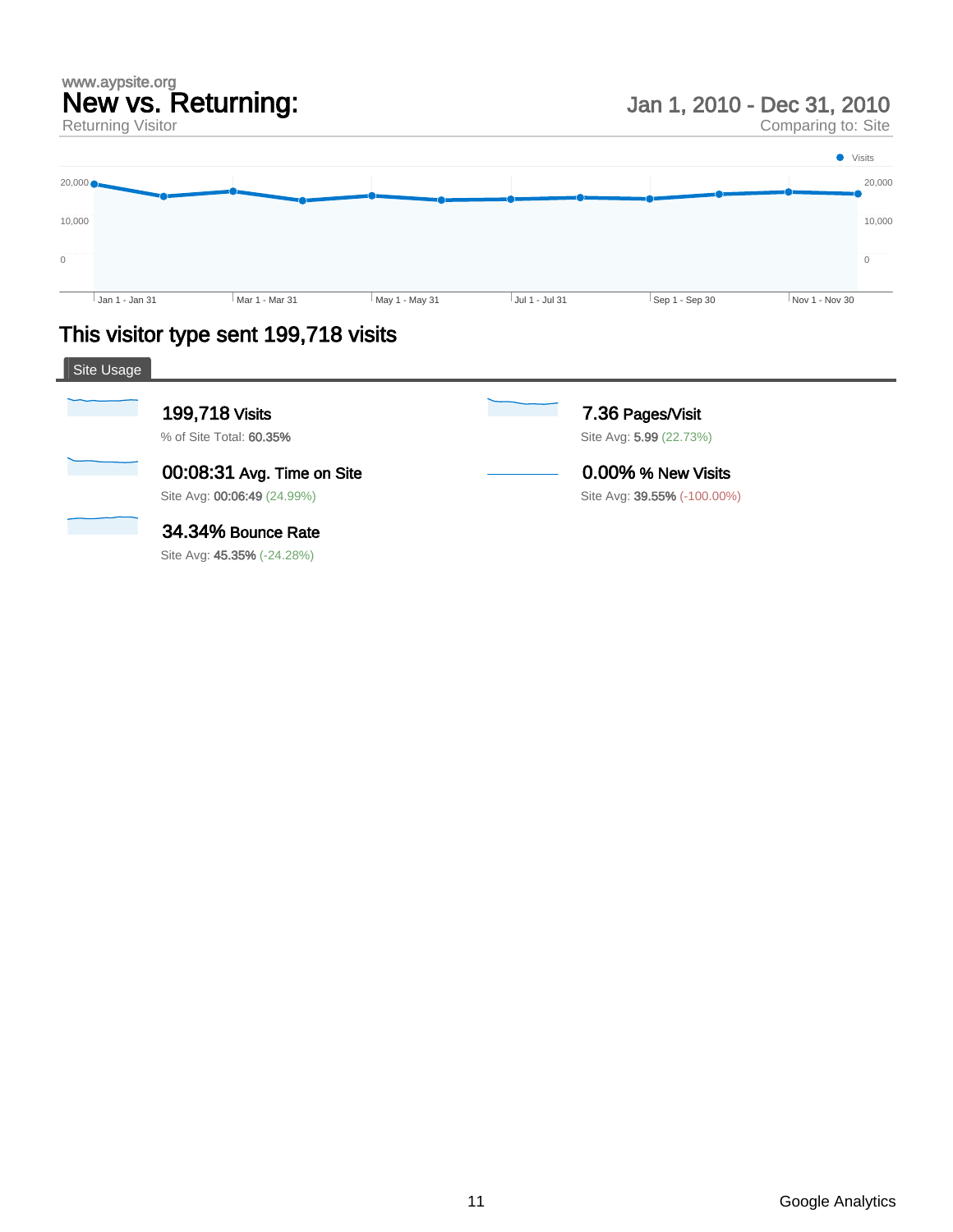#### www.aypsite.org New vs. Returning: Returning Visitor

Jan 1, 2010 - Dec 31, 2010

Comparing to: Site



## This visitor type sent 199,718 visits

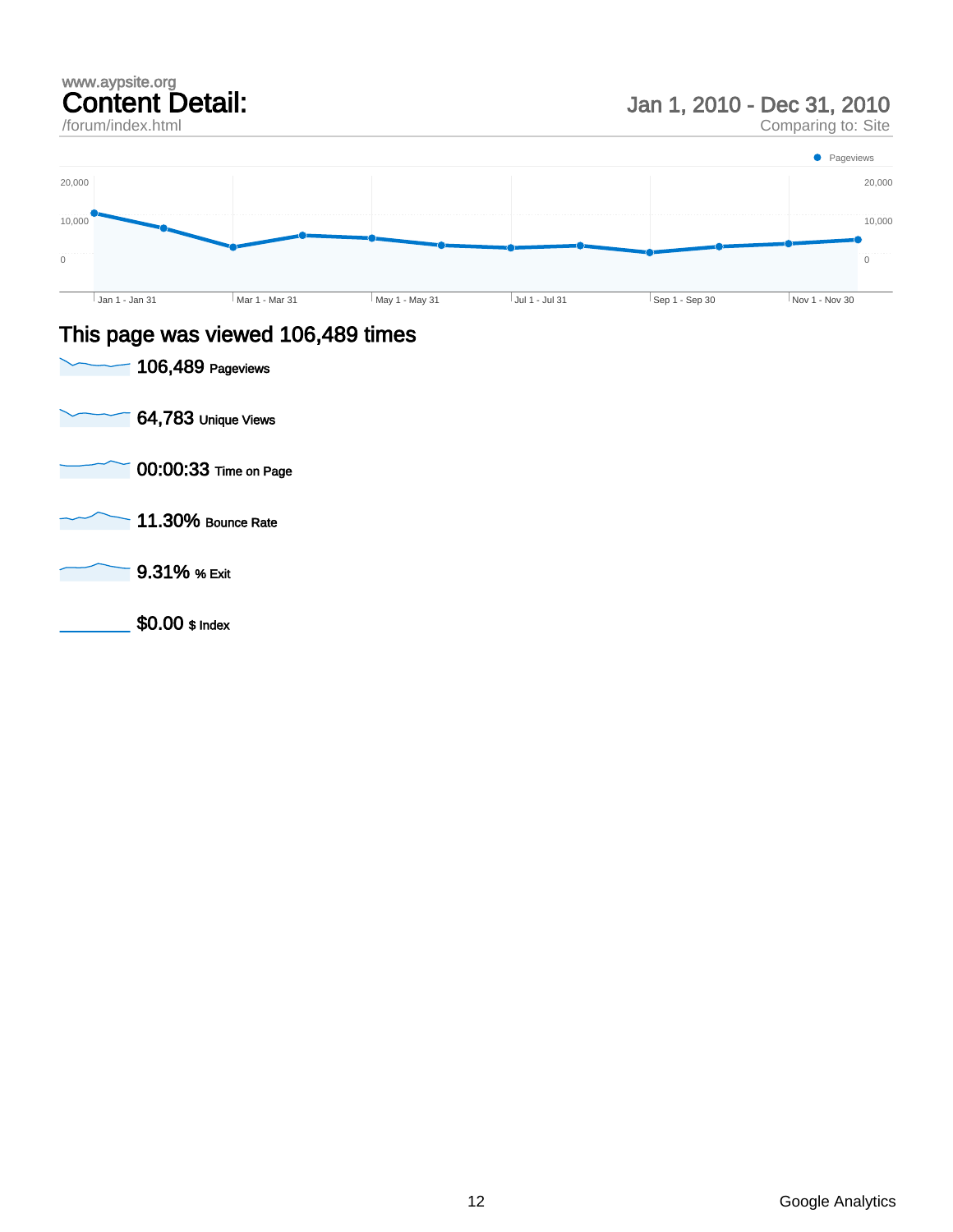/forum/index.html

Jan 1, 2010 - Dec 31, 2010

Comparing to: Site



### This page was viewed 106,489 times

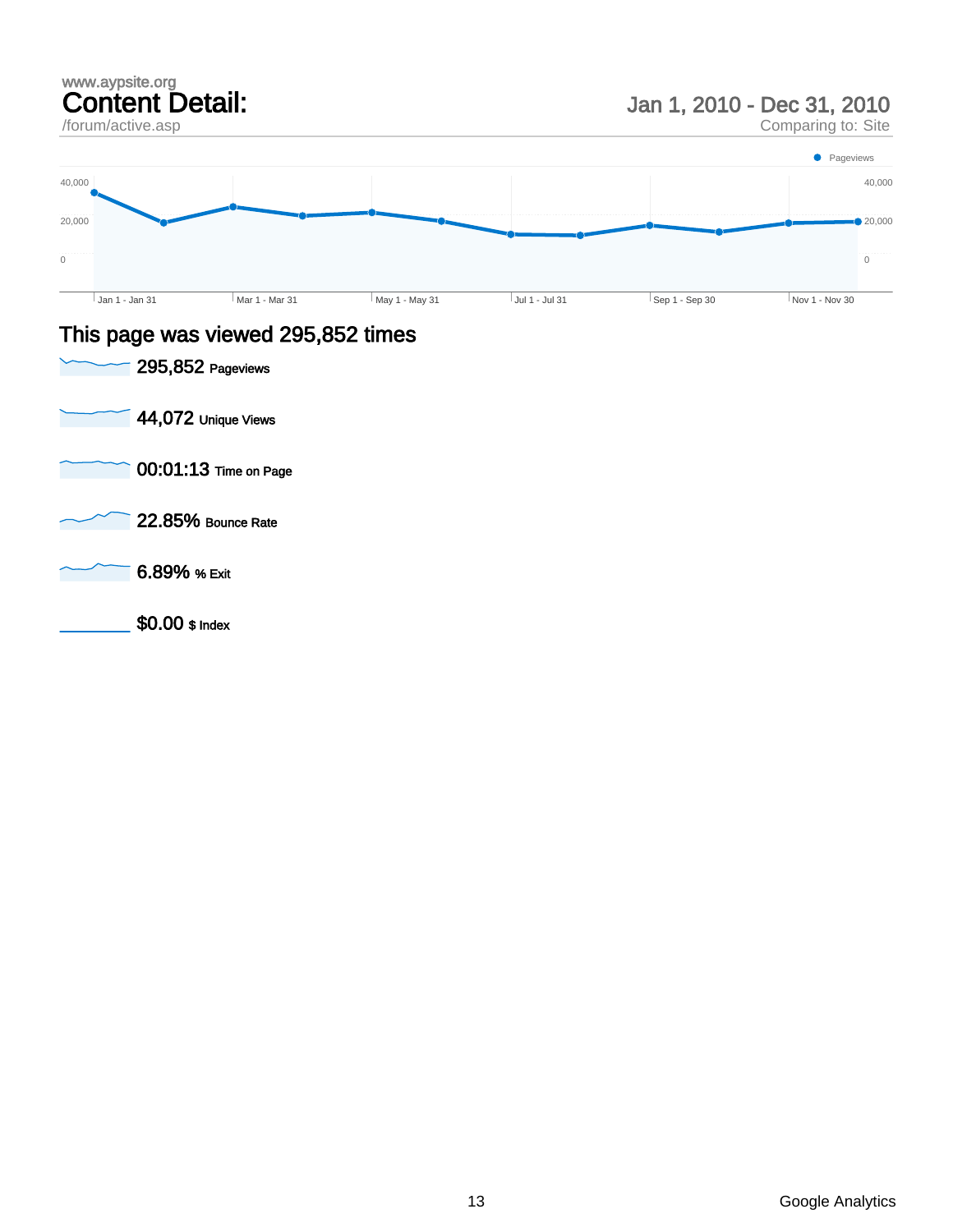/forum/active.asp

Jan 1, 2010 - Dec 31, 2010

Comparing to: Site



### This page was viewed 295,852 times

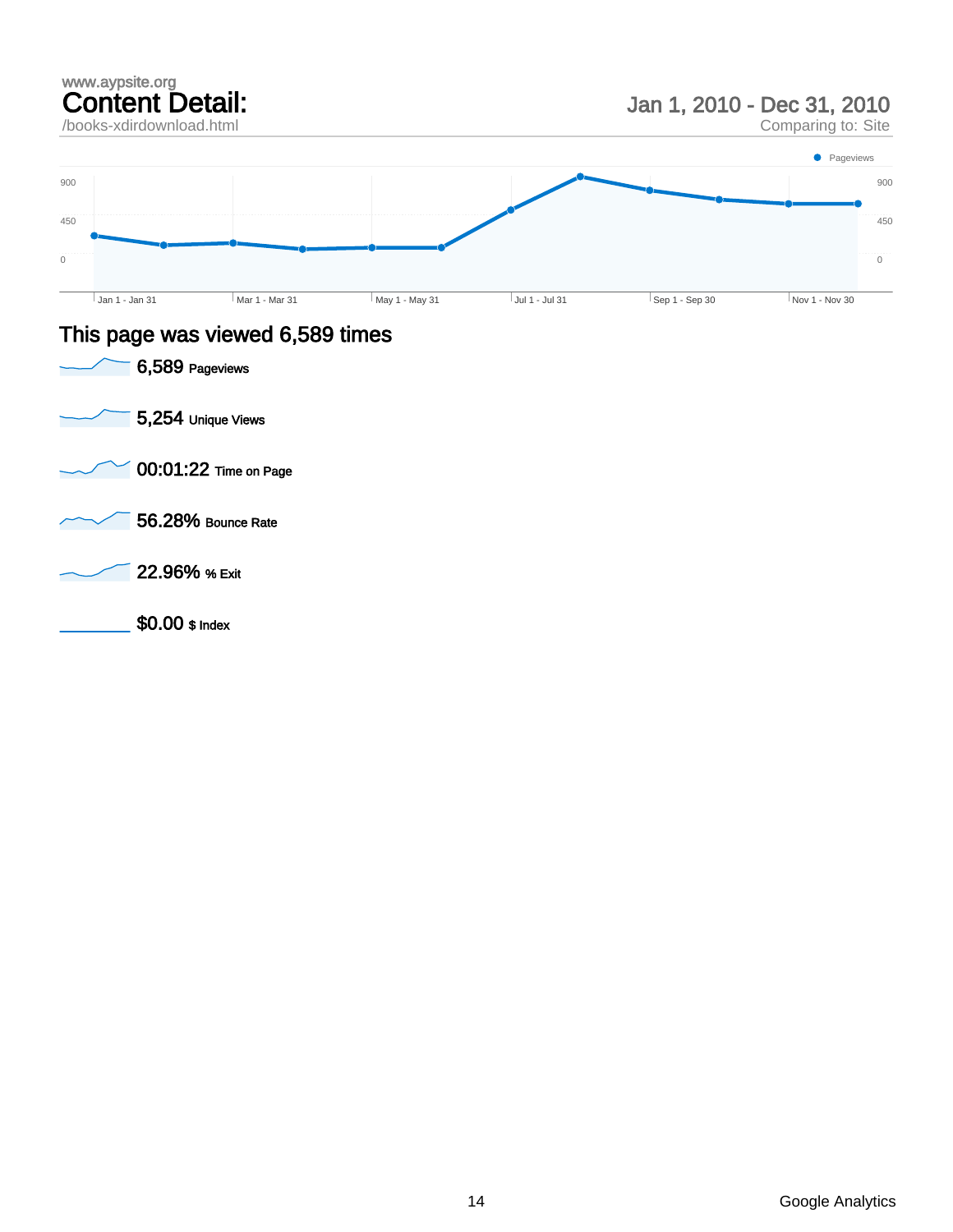

### This page was viewed 6,589 times



 $\overline{0}$ 

450

900